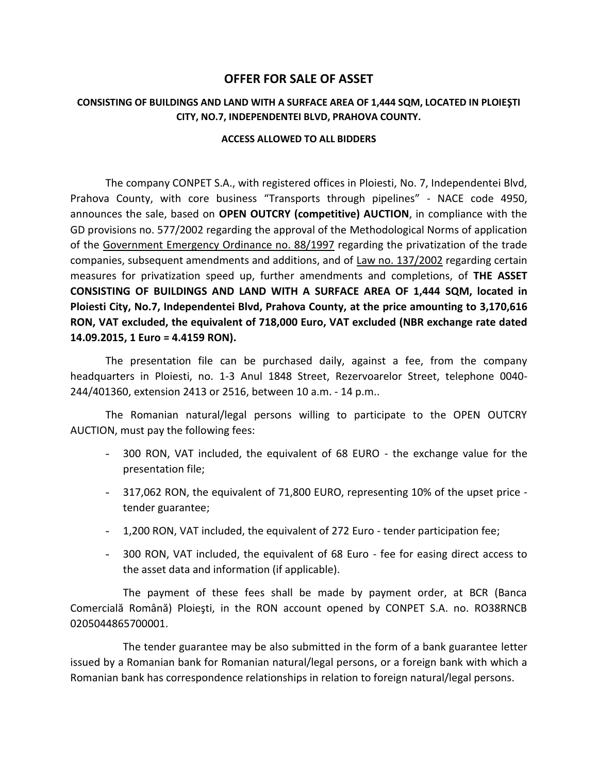## **OFFER FOR SALE OF ASSET**

## **CONSISTING OF BUILDINGS AND LAND WITH A SURFACE AREA OF 1,444 SQM, LOCATED IN PLOIEŞTI CITY, NO.7, INDEPENDENTEI BLVD, PRAHOVA COUNTY.**

## **ACCESS ALLOWED TO ALL BIDDERS**

The company CONPET S.A., with registered offices in Ploiesti, No. 7, Independentei Blvd, Prahova County, with core business "Transports through pipelines" - NACE code 4950, announces the sale, based on **OPEN OUTCRY (competitive) AUCTION**, in compliance with the GD provisions no. 577/2002 regarding the approval of the Methodological Norms of application of the Government Emergency Ordinance no. 88/1997 regarding the privatization of the trade companies, subsequent amendments and additions, and of Law no. 137/2002 regarding certain measures for privatization speed up, further amendments and completions, of **THE ASSET CONSISTING OF BUILDINGS AND LAND WITH A SURFACE AREA OF 1,444 SQM, located in Ploiesti City, No.7, Independentei Blvd, Prahova County, at the price amounting to 3,170,616 RON, VAT excluded, the equivalent of 718,000 Euro, VAT excluded (NBR exchange rate dated 14.09.2015, 1 Euro = 4.4159 RON).**

The presentation file can be purchased daily, against a fee, from the company headquarters in Ploiesti, no. 1-3 Anul 1848 Street, Rezervoarelor Street, telephone 0040- 244/401360, extension 2413 or 2516, between 10 a.m. - 14 p.m..

The Romanian natural/legal persons willing to participate to the OPEN OUTCRY AUCTION, must pay the following fees:

- 300 RON, VAT included, the equivalent of 68 EURO the exchange value for the presentation file;
- 317,062 RON, the equivalent of 71,800 EURO, representing 10% of the upset price tender guarantee;
- 1,200 RON, VAT included, the equivalent of 272 Euro tender participation fee;
- 300 RON, VAT included, the equivalent of 68 Euro fee for easing direct access to the asset data and information (if applicable).

The payment of these fees shall be made by payment order, at BCR (Banca Comercială Română) Ploieşti, in the RON account opened by CONPET S.A. no. RO38RNCB 0205044865700001.

The tender guarantee may be also submitted in the form of a bank guarantee letter issued by a Romanian bank for Romanian natural/legal persons, or a foreign bank with which a Romanian bank has correspondence relationships in relation to foreign natural/legal persons.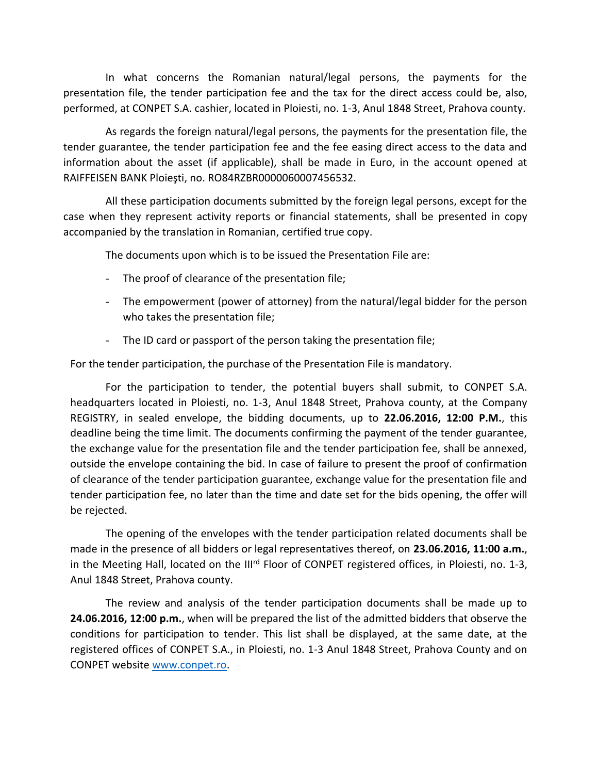In what concerns the Romanian natural/legal persons, the payments for the presentation file, the tender participation fee and the tax for the direct access could be, also, performed, at CONPET S.A. cashier, located in Ploiesti, no. 1-3, Anul 1848 Street, Prahova county.

As regards the foreign natural/legal persons, the payments for the presentation file, the tender guarantee, the tender participation fee and the fee easing direct access to the data and information about the asset (if applicable), shall be made in Euro, in the account opened at RAIFFEISEN BANK Ploieşti, no. RO84RZBR0000060007456532.

All these participation documents submitted by the foreign legal persons, except for the case when they represent activity reports or financial statements, shall be presented in copy accompanied by the translation in Romanian, certified true copy.

The documents upon which is to be issued the Presentation File are:

- The proof of clearance of the presentation file;
- The empowerment (power of attorney) from the natural/legal bidder for the person who takes the presentation file;
- The ID card or passport of the person taking the presentation file;

For the tender participation, the purchase of the Presentation File is mandatory.

For the participation to tender, the potential buyers shall submit, to CONPET S.A. headquarters located in Ploiesti, no. 1-3, Anul 1848 Street, Prahova county, at the Company REGISTRY, in sealed envelope, the bidding documents, up to **22.06.2016, 12:00 P.M.**, this deadline being the time limit. The documents confirming the payment of the tender guarantee, the exchange value for the presentation file and the tender participation fee, shall be annexed, outside the envelope containing the bid. In case of failure to present the proof of confirmation of clearance of the tender participation guarantee, exchange value for the presentation file and tender participation fee, no later than the time and date set for the bids opening, the offer will be rejected.

The opening of the envelopes with the tender participation related documents shall be made in the presence of all bidders or legal representatives thereof, on **23.06.2016, 11:00 a.m.**, in the Meeting Hall, located on the III<sup>rd</sup> Floor of CONPET registered offices, in Ploiesti, no. 1-3, Anul 1848 Street, Prahova county.

The review and analysis of the tender participation documents shall be made up to **24.06.2016, 12:00 p.m.**, when will be prepared the list of the admitted bidders that observe the conditions for participation to tender. This list shall be displayed, at the same date, at the registered offices of CONPET S.A., in Ploiesti, no. 1-3 Anul 1848 Street, Prahova County and on CONPET websit[e www.conpet.ro.](http://www.conpet.ro/)